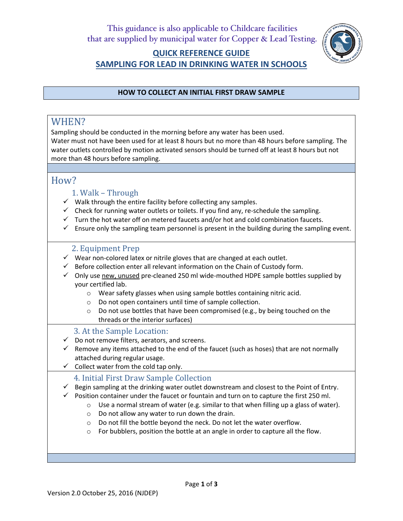

# **QUICK REFERENCE GUIDE SAMPLING FOR LEAD IN DRINKING WATER IN SCHOOLS**

### **HOW TO COLLECT AN INITIAL FIRST DRAW SAMPLE**

# WHEN?

Sampling should be conducted in the morning before any water has been used.

Water must not have been used for at least 8 hours but no more than 48 hours before sampling. The water outlets controlled by motion activated sensors should be turned off at least 8 hours but not more than 48 hours before sampling.

# How?

- 1. Walk Through
- $\checkmark$  Walk through the entire facility before collecting any samples.
- $\checkmark$  Check for running water outlets or toilets. If you find any, re-schedule the sampling.
- $\checkmark$  Turn the hot water off on metered faucets and/or hot and cold combination faucets.
- $\checkmark$  Ensure only the sampling team personnel is present in the building during the sampling event.

# 2. Equipment Prep

- $\checkmark$  Wear non-colored latex or nitrile gloves that are changed at each outlet.
- $\checkmark$  Before collection enter all relevant information on the Chain of Custody form.
- $\checkmark$  Only use new, unused pre-cleaned 250 ml wide-mouthed HDPE sample bottles supplied by your certified lab.
	- o Wear safety glasses when using sample bottles containing nitric acid.
	- o Do not open containers until time of sample collection.
	- o Do not use bottles that have been compromised (e.g., by being touched on the threads or the interior surfaces)

# 3. At the Sample Location:

- $\checkmark$  Do not remove filters, aerators, and screens.
- $\checkmark$  Remove any items attached to the end of the faucet (such as hoses) that are not normally attached during regular usage.
- $\checkmark$  Collect water from the cold tap only.
	- 4. Initial First Draw Sample Collection
- $\checkmark$  Begin sampling at the drinking water outlet downstream and closest to the Point of Entry.
- $\checkmark$  Position container under the faucet or fountain and turn on to capture the first 250 ml.
	- $\circ$  Use a normal stream of water (e.g. similar to that when filling up a glass of water).
	- $\circ$  Do not allow any water to run down the drain.
	- o Do not fill the bottle beyond the neck. Do not let the water overflow.
	- o For bubblers, position the bottle at an angle in order to capture all the flow.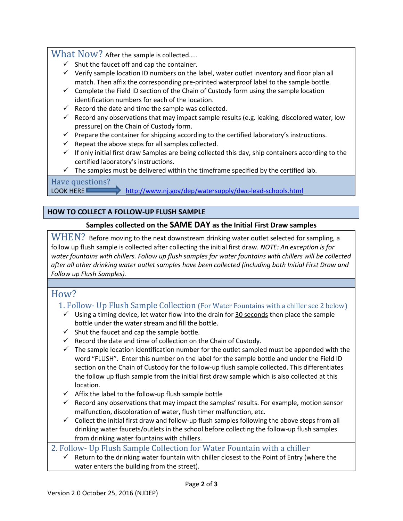### What Now? After the sample is collected.....

- $\checkmark$  Shut the faucet off and cap the container.
- $\checkmark$  Verify sample location ID numbers on the label, water outlet inventory and floor plan all match. Then affix the corresponding pre-printed waterproof label to the sample bottle.
- $\checkmark$  Complete the Field ID section of the Chain of Custody form using the sample location identification numbers for each of the location.
- $\checkmark$  Record the date and time the sample was collected.
- $\checkmark$  Record any observations that may impact sample results (e.g. leaking, discolored water, low pressure) on the Chain of Custody form.
- $\checkmark$  Prepare the container for shipping according to the certified laboratory's instructions.
- $\checkmark$  Repeat the above steps for all samples collected.
- $\checkmark$  If only initial first draw Samples are being collected this day, ship containers according to the certified laboratory's instructions.
- $\checkmark$  The samples must be delivered within the timeframe specified by the certified lab.

Have questions?

LOOK HERE http://www.nj.gov/dep/watersupply/dwc-lead-schools.html

### **HOW TO COLLECT A FOLLOW-UP FLUSH SAMPLE**

### **Samples collected on the SAME DAY as the Initial First Draw samples**

WHEN? Before moving to the next downstream drinking water outlet selected for sampling, a follow up flush sample is collected after collecting the initial first draw. *NOTE: An exception is for water fountains with chillers. Follow up flush samples for water fountains with chillers will be collected after all other drinking water outlet samples have been collected (including both Initial First Draw and Follow up Flush Samples).*

# How?

# 1. Follow- Up Flush Sample Collection (For Water Fountains with a chiller see 2 below)

- $\checkmark$  Using a timing device, let water flow into the drain for 30 seconds then place the sample bottle under the water stream and fill the bottle.
- $\checkmark$  Shut the faucet and cap the sample bottle.
- $\checkmark$  Record the date and time of collection on the Chain of Custody.
- $\checkmark$  The sample location identification number for the outlet sampled must be appended with the word "FLUSH". Enter this number on the label for the sample bottle and under the Field ID section on the Chain of Custody for the follow-up flush sample collected. This differentiates the follow up flush sample from the initial first draw sample which is also collected at this location.
- $\checkmark$  Affix the label to the follow-up flush sample bottle
- $\checkmark$  Record any observations that may impact the samples' results. For example, motion sensor malfunction, discoloration of water, flush timer malfunction, etc.
- $\checkmark$  Collect the initial first draw and follow-up flush samples following the above steps from all drinking water faucets/outlets in the school before collecting the follow-up flush samples from drinking water fountains with chillers.

# 2. Follow- Up Flush Sample Collection for Water Fountain with a chiller

 $\checkmark$  Return to the drinking water fountain with chiller closest to the Point of Entry (where the water enters the building from the street).